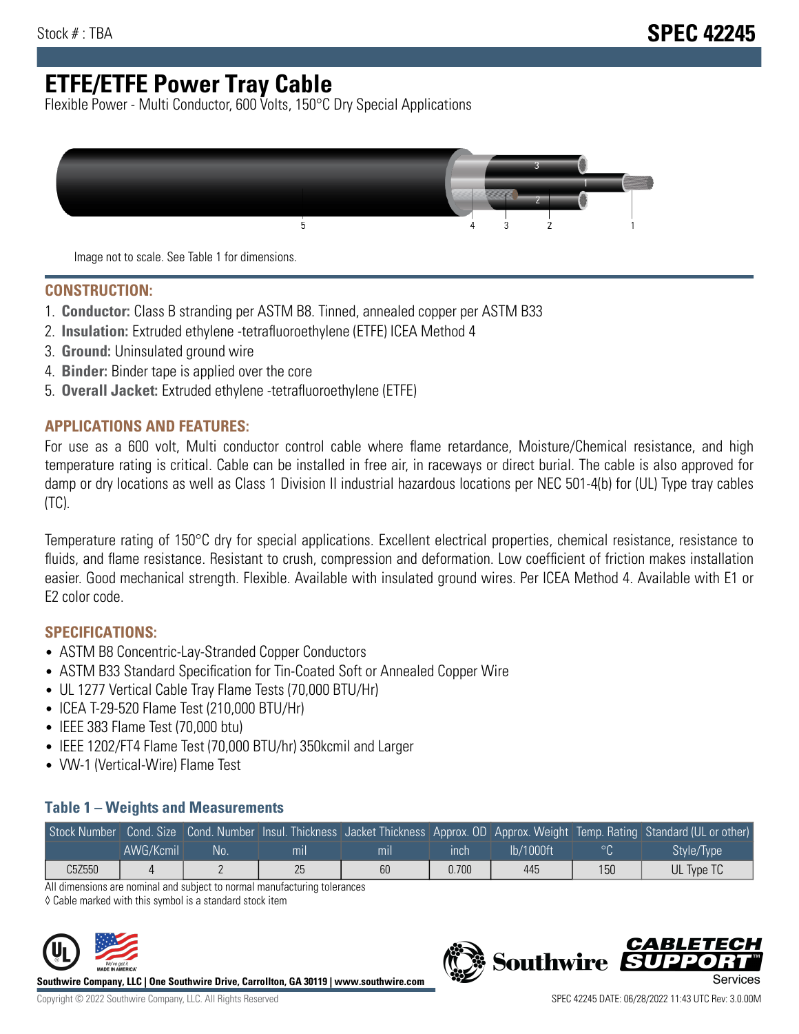# **ETFE/ETFE Power Tray Cable**

Flexible Power - Multi Conductor, 600 Volts, 150°C Dry Special Applications



Image not to scale. See Table 1 for dimensions.

#### **CONSTRUCTION:**

- 1. **Conductor:** Class B stranding per ASTM B8. Tinned, annealed copper per ASTM B33
- 2. **Insulation:** Extruded ethylene -tetrafluoroethylene (ETFE) ICEA Method 4
- 3. **Ground:** Uninsulated ground wire
- 4. **Binder:** Binder tape is applied over the core
- 5. **Overall Jacket:** Extruded ethylene -tetrafluoroethylene (ETFE)

### **APPLICATIONS AND FEATURES:**

For use as a 600 volt, Multi conductor control cable where flame retardance, Moisture/Chemical resistance, and high temperature rating is critical. Cable can be installed in free air, in raceways or direct burial. The cable is also approved for damp or dry locations as well as Class 1 Division II industrial hazardous locations per NEC 501-4(b) for (UL) Type tray cables (TC).

Temperature rating of 150°C dry for special applications. Excellent electrical properties, chemical resistance, resistance to fluids, and flame resistance. Resistant to crush, compression and deformation. Low coefficient of friction makes installation easier. Good mechanical strength. Flexible. Available with insulated ground wires. Per ICEA Method 4. Available with E1 or E2 color code.

## **SPECIFICATIONS:**

- ASTM B8 Concentric-Lay-Stranded Copper Conductors
- ASTM B33 Standard Specification for Tin-Coated Soft or Annealed Copper Wire
- UL 1277 Vertical Cable Tray Flame Tests (70,000 BTU/Hr)
- ICEA T-29-520 Flame Test (210,000 BTU/Hr)
- IEEE 383 Flame Test (70,000 btu)
- IEEE 1202/FT4 Flame Test (70,000 BTU/hr) 350kcmil and Larger
- VW-1 (Vertical-Wire) Flame Test

### **Table 1 – Weights and Measurements**

| Stock Number |           |    |     |     |       |           |     | Cond. Size Cond. Number Insul. Thickness Jacket Thickness Approx. OD Approx. Weight Temp. Rating Standard (UL or other) |
|--------------|-----------|----|-----|-----|-------|-----------|-----|-------------------------------------------------------------------------------------------------------------------------|
|              | AWG/Kcmil | No | mıl | mil | ınch  | lb/1000ft | ം   | Style/Type                                                                                                              |
| C5Z550       |           |    | 25  | 60  | 0.700 | 445       | 150 | UL Type TC                                                                                                              |

All dimensions are nominal and subject to normal manufacturing tolerances

◊ Cable marked with this symbol is a standard stock item



**Southwire Company, LLC | One Southwire Drive, Carrollton, GA 30119 | www.southwire.com**



**Southwire** 

CARLET